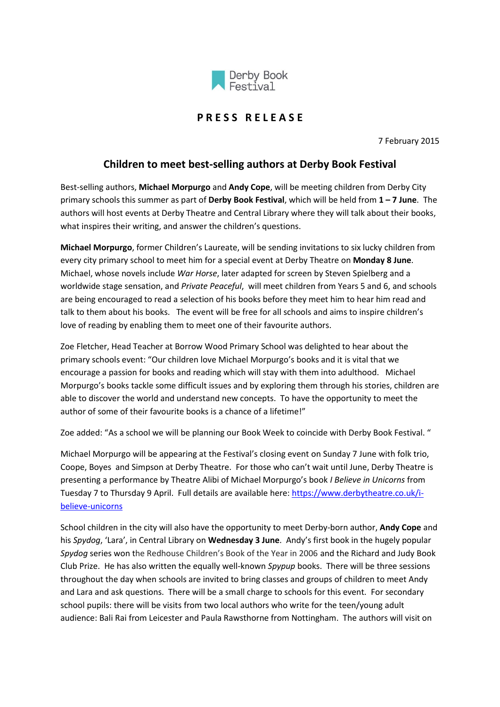

## **P R E S S R E L E A S E**

7 February 2015

## **Children to meet best-selling authors at Derby Book Festival**

Best-selling authors, **Michael Morpurgo** and **Andy Cope**, will be meeting children from Derby City primary schools this summer as part of **Derby Book Festival**, which will be held from **1 – 7 June**. The authors will host events at Derby Theatre and Central Library where they will talk about their books, what inspires their writing, and answer the children's questions.

**Michael Morpurgo**, former Children's Laureate, will be sending invitations to six lucky children from every city primary school to meet him for a special event at Derby Theatre on **Monday 8 June**. Michael, whose novels include *War Horse*, later adapted for screen by Steven Spielberg and a worldwide stage sensation, and *Private Peaceful*, will meet children from Years 5 and 6, and schools are being encouraged to read a selection of his books before they meet him to hear him read and talk to them about his books. The event will be free for all schools and aims to inspire children's love of reading by enabling them to meet one of their favourite authors.

Zoe Fletcher, Head Teacher at Borrow Wood Primary School was delighted to hear about the primary schools event: "Our children love Michael Morpurgo's books and it is vital that we encourage a passion for books and reading which will stay with them into adulthood. Michael Morpurgo's books tackle some difficult issues and by exploring them through his stories, children are able to discover the world and understand new concepts. To have the opportunity to meet the author of some of their favourite books is a chance of a lifetime!"

Zoe added: "As a school we will be planning our Book Week to coincide with Derby Book Festival. "

Michael Morpurgo will be appearing at the Festival's closing event on Sunday 7 June with folk trio, Coope, Boyes and Simpson at Derby Theatre. For those who can't wait until June, Derby Theatre is presenting a performance by Theatre Alibi of Michael Morpurgo's book *I Believe in Unicorns* from Tuesday 7 to Thursday 9 April. Full details are available here[: https://www.derbytheatre.co.uk/i](https://www.derbytheatre.co.uk/i-believe-unicorns)[believe-unicorns](https://www.derbytheatre.co.uk/i-believe-unicorns)

School children in the city will also have the opportunity to meet Derby-born author, **Andy Cope** and his *Spydog*, 'Lara', in Central Library on **Wednesday 3 June**. Andy's first book in the hugely popular *Spydog* series won the Redhouse Children's Book of the Year in 2006 and the Richard and Judy Book Club Prize. He has also written the equally well-known *Spypup* books. There will be three sessions throughout the day when schools are invited to bring classes and groups of children to meet Andy and Lara and ask questions. There will be a small charge to schools for this event. For secondary school pupils: there will be visits from two local authors who write for the teen/young adult audience: Bali Rai from Leicester and Paula Rawsthorne from Nottingham. The authors will visit on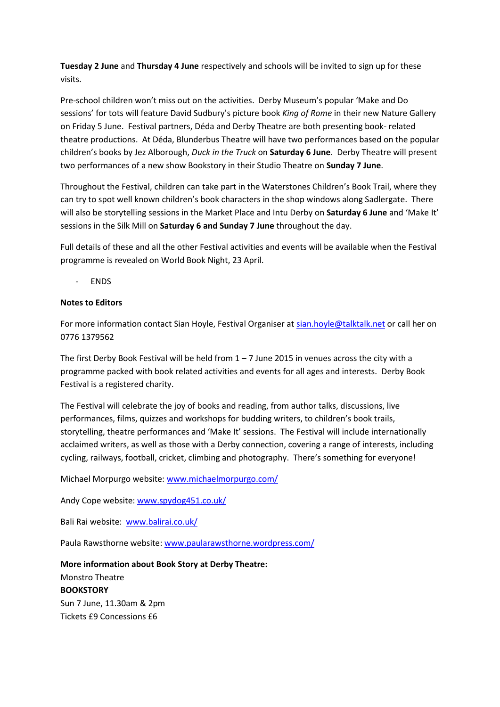**Tuesday 2 June** and **Thursday 4 June** respectively and schools will be invited to sign up for these visits.

Pre-school children won't miss out on the activities. Derby Museum's popular 'Make and Do sessions' for tots will feature David Sudbury's picture book *King of Rome* in their new Nature Gallery on Friday 5 June. Festival partners, Déda and Derby Theatre are both presenting book- related theatre productions. At Déda, Blunderbus Theatre will have two performances based on the popular children's books by Jez Alborough, *Duck in the Truck* on **Saturday 6 June**. Derby Theatre will present two performances of a new show Bookstory in their Studio Theatre on **Sunday 7 June**.

Throughout the Festival, children can take part in the Waterstones Children's Book Trail, where they can try to spot well known children's book characters in the shop windows along Sadlergate. There will also be storytelling sessions in the Market Place and Intu Derby on **Saturday 6 June** and 'Make It' sessions in the Silk Mill on **Saturday 6 and Sunday 7 June** throughout the day.

Full details of these and all the other Festival activities and events will be available when the Festival programme is revealed on World Book Night, 23 April.

- ENDS

## **Notes to Editors**

For more information contact Sian Hoyle, Festival Organiser at [sian.hoyle@talktalk.net](mailto:sian.hoyle@talktalk.net) or call her on 0776 1379562

The first Derby Book Festival will be held from  $1 - 7$  June 2015 in venues across the city with a programme packed with book related activities and events for all ages and interests. Derby Book Festival is a registered charity.

The Festival will celebrate the joy of books and reading, from author talks, discussions, live performances, films, quizzes and workshops for budding writers, to children's book trails, storytelling, theatre performances and 'Make It' sessions. The Festival will include internationally acclaimed writers, as well as those with a Derby connection, covering a range of interests, including cycling, railways, football, cricket, climbing and photography. There's something for everyone!

Michael Morpurgo website[: www.michaelmorpurgo.com/](file:///C:/Users/783243/AppData/Local/Microsoft/Windows/Temporary%20Internet%20Files/Content.Outlook/JVBUSGR4/www.michaelmorpurgo.com/)

Andy Cope website: [www.spydog451.co.uk/](http://www.spydog451.co.uk/)

Bali Rai website: [www.balirai.co.uk/](file:///C:/Users/783243/AppData/Local/Microsoft/Windows/Temporary%20Internet%20Files/Content.Outlook/JVBUSGR4/www.balirai.co.uk/)

Paula Rawsthorne website: [www.paularawsthorne.wordpress.com/](file:///C:/Users/783243/AppData/Local/Microsoft/Windows/Temporary%20Internet%20Files/Content.Outlook/JVBUSGR4/www.paularawsthorne.wordpress.com/)

**More information about Book Story at Derby Theatre:** Monstro Theatre **BOOKSTORY** Sun 7 June, 11.30am & 2pm Tickets £9 Concessions £6